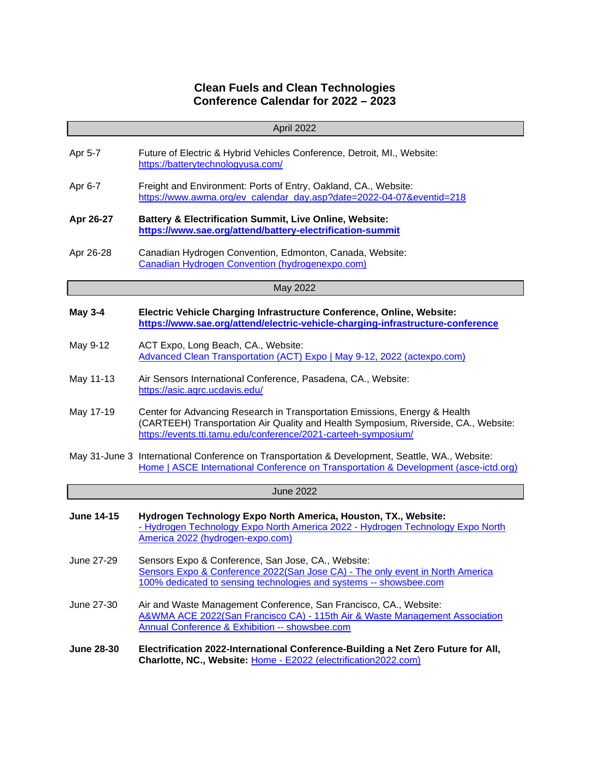## **Clean Fuels and Clean Technologies Conference Calendar for 2022 – 2023**

|                   | April 2022                                                                                                                                                                                                                          |  |
|-------------------|-------------------------------------------------------------------------------------------------------------------------------------------------------------------------------------------------------------------------------------|--|
| Apr 5-7           | Future of Electric & Hybrid Vehicles Conference, Detroit, MI., Website:<br>https://batterytechnologyusa.com/                                                                                                                        |  |
| Apr 6-7           | Freight and Environment: Ports of Entry, Oakland, CA., Website:<br>https://www.awma.org/ev_calendar_day.asp?date=2022-04-07&eventid=218                                                                                             |  |
| Apr 26-27         | <b>Battery &amp; Electrification Summit, Live Online, Website:</b><br>https://www.sae.org/attend/battery-electrification-summit                                                                                                     |  |
| Apr 26-28         | Canadian Hydrogen Convention, Edmonton, Canada, Website:<br>Canadian Hydrogen Convention (hydrogenexpo.com)                                                                                                                         |  |
| May 2022          |                                                                                                                                                                                                                                     |  |
| <b>May 3-4</b>    | Electric Vehicle Charging Infrastructure Conference, Online, Website:<br>https://www.sae.org/attend/electric-vehicle-charging-infrastructure-conference                                                                             |  |
| May 9-12          | ACT Expo, Long Beach, CA., Website:<br>Advanced Clean Transportation (ACT) Expo   May 9-12, 2022 (actexpo.com)                                                                                                                      |  |
| May 11-13         | Air Sensors International Conference, Pasadena, CA., Website:<br>https://asic.agrc.ucdavis.edu/                                                                                                                                     |  |
| May 17-19         | Center for Advancing Research in Transportation Emissions, Energy & Health<br>(CARTEEH) Transportation Air Quality and Health Symposium, Riverside, CA., Website:<br>https://events.tti.tamu.edu/conference/2021-carteeh-symposium/ |  |
|                   | May 31-June 3 International Conference on Transportation & Development, Seattle, WA., Website:<br>Home   ASCE International Conference on Transportation & Development (asce-ictd.org)                                              |  |
|                   | <b>June 2022</b>                                                                                                                                                                                                                    |  |
| <b>June 14-15</b> | Hydrogen Technology Expo North America, Houston, TX., Website:<br>- Hydrogen Technology Expo North America 2022 - Hydrogen Technology Expo North<br>America 2022 (hydrogen-expo.com)                                                |  |
| June 27-29        | Sensors Expo & Conference, San Jose, CA., Website:<br>Sensors Expo & Conference 2022(San Jose CA) - The only event in North America<br>100% dedicated to sensing technologies and systems -- showsbee.com                           |  |
| June 27-30        | Air and Waste Management Conference, San Francisco, CA., Website:<br>A&WMA ACE 2022(San Francisco CA) - 115th Air & Waste Management Association<br><b>Annual Conference &amp; Exhibition -- showsbee.com</b>                       |  |
| <b>June 28-30</b> | Electrification 2022-International Conference-Building a Net Zero Future for All,<br>Charlotte, NC., Website: Home - E2022 (electrification2022.com)                                                                                |  |